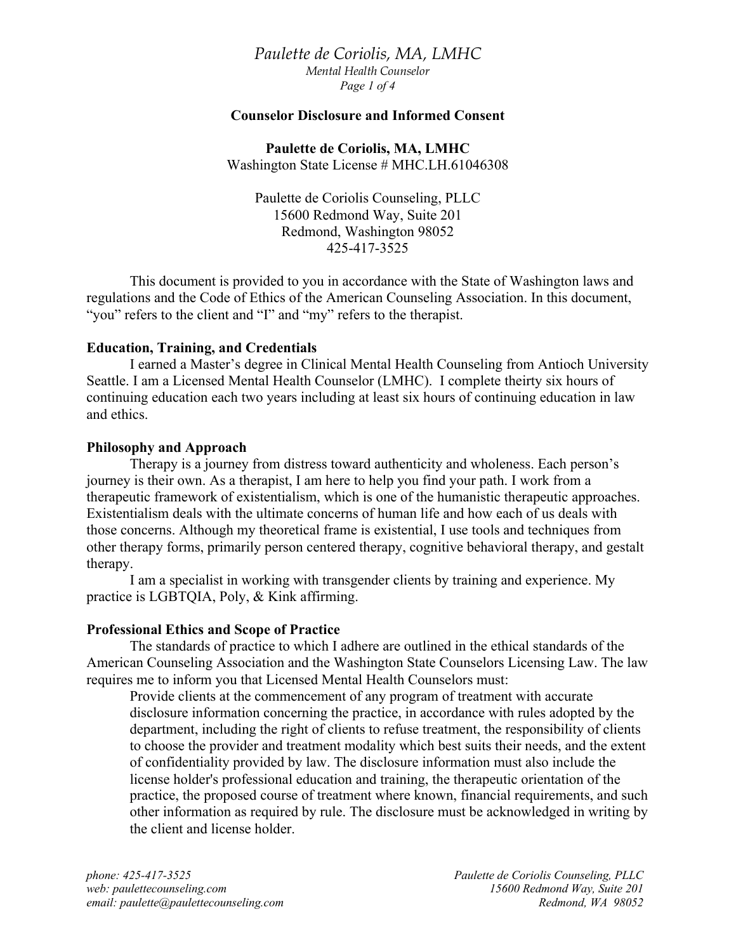*Paulette de Coriolis, MA, LMHC Mental Health Counselor Page 1 of 4*

## **Counselor Disclosure and Informed Consent**

**Paulette de Coriolis, MA, LMHC** Washington State License # MHC.LH.61046308

Paulette de Coriolis Counseling, PLLC 15600 Redmond Way, Suite 201 Redmond, Washington 98052 425-417-3525

This document is provided to you in accordance with the State of Washington laws and regulations and the Code of Ethics of the American Counseling Association. In this document, "you" refers to the client and "I" and "my" refers to the therapist.

#### **Education, Training, and Credentials**

I earned a Master's degree in Clinical Mental Health Counseling from Antioch University Seattle. I am a Licensed Mental Health Counselor (LMHC). I complete theirty six hours of continuing education each two years including at least six hours of continuing education in law and ethics.

#### **Philosophy and Approach**

Therapy is a journey from distress toward authenticity and wholeness. Each person's journey is their own. As a therapist, I am here to help you find your path. I work from a therapeutic framework of existentialism, which is one of the humanistic therapeutic approaches. Existentialism deals with the ultimate concerns of human life and how each of us deals with those concerns. Although my theoretical frame is existential, I use tools and techniques from other therapy forms, primarily person centered therapy, cognitive behavioral therapy, and gestalt therapy.

I am a specialist in working with transgender clients by training and experience. My practice is LGBTQIA, Poly, & Kink affirming.

# **Professional Ethics and Scope of Practice**

The standards of practice to which I adhere are outlined in the ethical standards of the American Counseling Association and the Washington State Counselors Licensing Law. The law requires me to inform you that Licensed Mental Health Counselors must:

Provide clients at the commencement of any program of treatment with accurate disclosure information concerning the practice, in accordance with rules adopted by the department, including the right of clients to refuse treatment, the responsibility of clients to choose the provider and treatment modality which best suits their needs, and the extent of confidentiality provided by law. The disclosure information must also include the license holder's professional education and training, the therapeutic orientation of the practice, the proposed course of treatment where known, financial requirements, and such other information as required by rule. The disclosure must be acknowledged in writing by the client and license holder.

*phone: 425-417-3525 Paulette de Coriolis Counseling, PLLC web: paulettecounseling.com 15600 Redmond Way, Suite 201 email: paulette@paulettecounseling.com Redmond, WA 98052*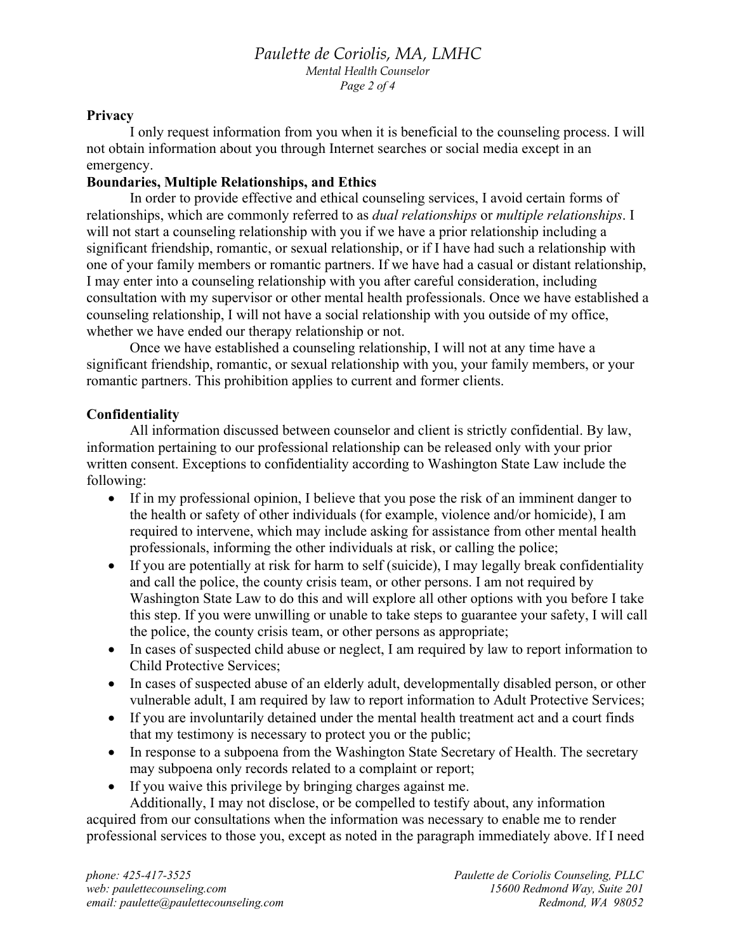# *Paulette de Coriolis, MA, LMHC Mental Health Counselor Page 2 of 4*

## **Privacy**

I only request information from you when it is beneficial to the counseling process. I will not obtain information about you through Internet searches or social media except in an emergency.

# **Boundaries, Multiple Relationships, and Ethics**

In order to provide effective and ethical counseling services, I avoid certain forms of relationships, which are commonly referred to as *dual relationships* or *multiple relationships*. I will not start a counseling relationship with you if we have a prior relationship including a significant friendship, romantic, or sexual relationship, or if I have had such a relationship with one of your family members or romantic partners. If we have had a casual or distant relationship, I may enter into a counseling relationship with you after careful consideration, including consultation with my supervisor or other mental health professionals. Once we have established a counseling relationship, I will not have a social relationship with you outside of my office, whether we have ended our therapy relationship or not.

Once we have established a counseling relationship, I will not at any time have a significant friendship, romantic, or sexual relationship with you, your family members, or your romantic partners. This prohibition applies to current and former clients.

# **Confidentiality**

All information discussed between counselor and client is strictly confidential. By law, information pertaining to our professional relationship can be released only with your prior written consent. Exceptions to confidentiality according to Washington State Law include the following:

- If in my professional opinion, I believe that you pose the risk of an imminent danger to the health or safety of other individuals (for example, violence and/or homicide), I am required to intervene, which may include asking for assistance from other mental health professionals, informing the other individuals at risk, or calling the police;
- If you are potentially at risk for harm to self (suicide), I may legally break confidentiality and call the police, the county crisis team, or other persons. I am not required by Washington State Law to do this and will explore all other options with you before I take this step. If you were unwilling or unable to take steps to guarantee your safety, I will call the police, the county crisis team, or other persons as appropriate;
- In cases of suspected child abuse or neglect, I am required by law to report information to Child Protective Services;
- In cases of suspected abuse of an elderly adult, developmentally disabled person, or other vulnerable adult, I am required by law to report information to Adult Protective Services;
- If you are involuntarily detained under the mental health treatment act and a court finds that my testimony is necessary to protect you or the public;
- In response to a subpoena from the Washington State Secretary of Health. The secretary may subpoena only records related to a complaint or report;
- If you waive this privilege by bringing charges against me.

Additionally, I may not disclose, or be compelled to testify about, any information acquired from our consultations when the information was necessary to enable me to render professional services to those you, except as noted in the paragraph immediately above. If I need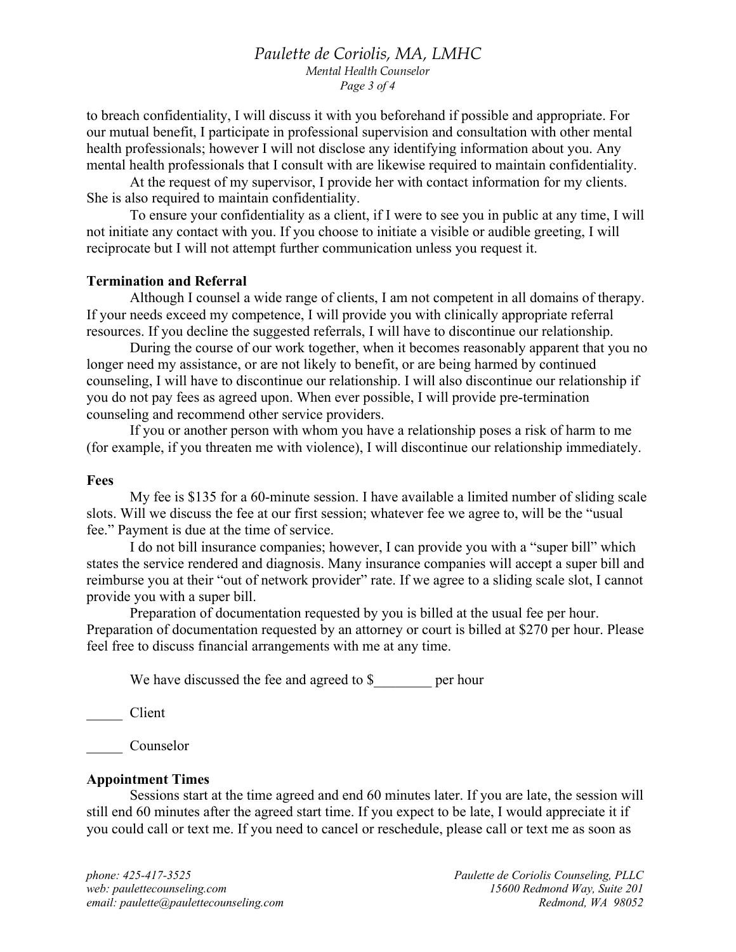## *Paulette de Coriolis, MA, LMHC Mental Health Counselor Page 3 of 4*

to breach confidentiality, I will discuss it with you beforehand if possible and appropriate. For our mutual benefit, I participate in professional supervision and consultation with other mental health professionals; however I will not disclose any identifying information about you. Any mental health professionals that I consult with are likewise required to maintain confidentiality.

At the request of my supervisor, I provide her with contact information for my clients. She is also required to maintain confidentiality.

To ensure your confidentiality as a client, if I were to see you in public at any time, I will not initiate any contact with you. If you choose to initiate a visible or audible greeting, I will reciprocate but I will not attempt further communication unless you request it.

#### **Termination and Referral**

Although I counsel a wide range of clients, I am not competent in all domains of therapy. If your needs exceed my competence, I will provide you with clinically appropriate referral resources. If you decline the suggested referrals, I will have to discontinue our relationship.

During the course of our work together, when it becomes reasonably apparent that you no longer need my assistance, or are not likely to benefit, or are being harmed by continued counseling, I will have to discontinue our relationship. I will also discontinue our relationship if you do not pay fees as agreed upon. When ever possible, I will provide pre-termination counseling and recommend other service providers.

If you or another person with whom you have a relationship poses a risk of harm to me (for example, if you threaten me with violence), I will discontinue our relationship immediately.

#### **Fees**

My fee is \$135 for a 60-minute session. I have available a limited number of sliding scale slots. Will we discuss the fee at our first session; whatever fee we agree to, will be the "usual fee." Payment is due at the time of service.

I do not bill insurance companies; however, I can provide you with a "super bill" which states the service rendered and diagnosis. Many insurance companies will accept a super bill and reimburse you at their "out of network provider" rate. If we agree to a sliding scale slot, I cannot provide you with a super bill.

Preparation of documentation requested by you is billed at the usual fee per hour. Preparation of documentation requested by an attorney or court is billed at \$270 per hour. Please feel free to discuss financial arrangements with me at any time.

We have discussed the fee and agreed to \$ per hour

\_\_\_\_\_ Client

Counselor

#### **Appointment Times**

Sessions start at the time agreed and end 60 minutes later. If you are late, the session will still end 60 minutes after the agreed start time. If you expect to be late, I would appreciate it if you could call or text me. If you need to cancel or reschedule, please call or text me as soon as

*phone: 425-417-3525 Paulette de Coriolis Counseling, PLLC web: paulettecounseling.com 15600 Redmond Way, Suite 201 email: paulette@paulettecounseling.com Redmond, WA 98052*